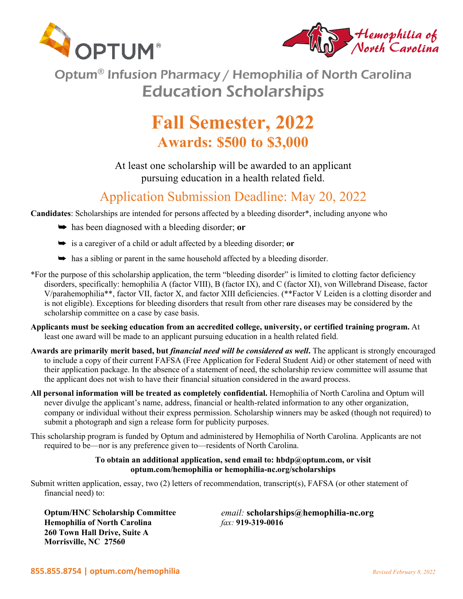



Optum® Infusion Pharmacy / Hemophilia of North Carolina Education Scholarships

# **Fall Semester, 2022 Awards: \$500 to \$3,000**

At least one scholarship will be awarded to an applicant pursuing education in a health related field.

# Application Submission Deadline: May 20, 2022

**Candidates**: Scholarships are intended for persons affected by a bleeding disorder\*, including anyone who

- $\rightarrow$  has been diagnosed with a bleeding disorder; or
- $\rightarrow$  is a caregiver of a child or adult affected by a bleeding disorder; **or**
- $\rightarrow$  has a sibling or parent in the same household affected by a bleeding disorder.
- \*For the purpose of this scholarship application, the term "bleeding disorder" is limited to clotting factor deficiency disorders, specifically: hemophilia A (factor VIII), B (factor IX), and C (factor XI), von Willebrand Disease, factor V/parahemophilia\*\*, factor VII, factor X, and factor XIII deficiencies. (\*\*Factor V Leiden is a clotting disorder and is not eligible). Exceptions for bleeding disorders that result from other rare diseases may be considered by the scholarship committee on a case by case basis.
- **Applicants must be seeking education from an accredited college, university, or certified training program.** At least one award will be made to an applicant pursuing education in a health related field.
- **Awards are primarily merit based, but** *financial need will be considered as well***.** The applicant is strongly encouraged to include a copy of their current FAFSA (Free Application for Federal Student Aid) or other statement of need with their application package. In the absence of a statement of need, the scholarship review committee will assume that the applicant does not wish to have their financial situation considered in the award process.
- **All personal information will be treated as completely confidential.** Hemophilia of North Carolina and Optum will never divulge the applicant's name, address, financial or health-related information to any other organization, company or individual without their express permission. Scholarship winners may be asked (though not required) to submit a photograph and sign a release form for publicity purposes.
- This scholarship program is funded by Optum and administered by Hemophilia of North Carolina. Applicants are not required to be—nor is any preference given to—residents of North Carolina.

### **To obtain an additional application, send email to: hbdp@optum.com, or visit optum.com/hemophilia or hemophilia-nc.org/scholarships**

Submit written application, essay, two (2) letters of recommendation, transcript(s), FAFSA (or other statement of financial need) to:

**Hemophilia of North Carolina** *fax:* **919-319-0016 260 Town Hall Drive, Suite A Morrisville, NC 27560**

**Optum/HNC Scholarship Committee** *email:* **scholarships@hemophilia-nc.org**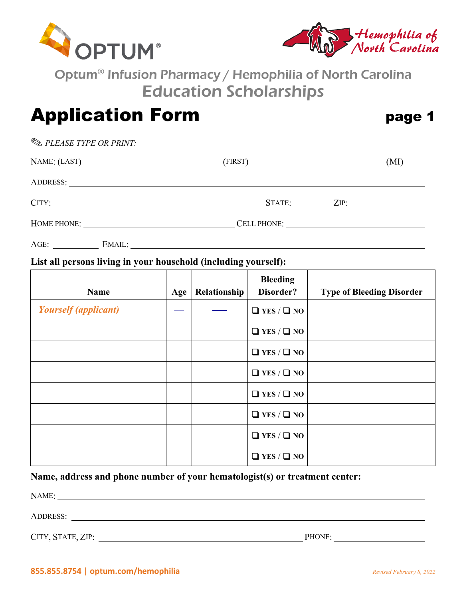



Optum® Infusion Pharmacy / Hemophilia of North Carolina Education Scholarships

# Application Form **page 1**

**EXAMPLE PLEASE TYPE OR PRINT:** 

| NAME: (LAST)   | (MI)        |
|----------------|-------------|
|                |             |
| CITY:          | STATE: ZIP: |
| HOME PHONE:    | CELL PHONE: |
| AGE:<br>EMAIL: |             |

## **List all persons living in your household (including yourself):**

| <b>Name</b>                 | Age | Relationship | <b>Bleeding</b><br>Disorder? | <b>Type of Bleeding Disorder</b> |
|-----------------------------|-----|--------------|------------------------------|----------------------------------|
| <b>Yourself</b> (applicant) |     |              | $\Box$ YES / $\Box$ NO       |                                  |
|                             |     |              | $\Box$ YES / $\Box$ NO       |                                  |
|                             |     |              | $\Box$ YES / $\Box$ NO       |                                  |
|                             |     |              | $\Box$ YES / $\Box$ NO       |                                  |
|                             |     |              | $\Box$ YES / $\Box$ NO       |                                  |
|                             |     |              | $\Box$ YES / $\Box$ NO       |                                  |
|                             |     |              | $\Box$ YES / $\Box$ NO       |                                  |
|                             |     |              | $\Box$ YES / $\Box$ NO       |                                  |

## **Name, address and phone number of your hematologist(s) or treatment center:**

NAME: ADDRESS:

CITY, STATE, ZIP: PHONE: